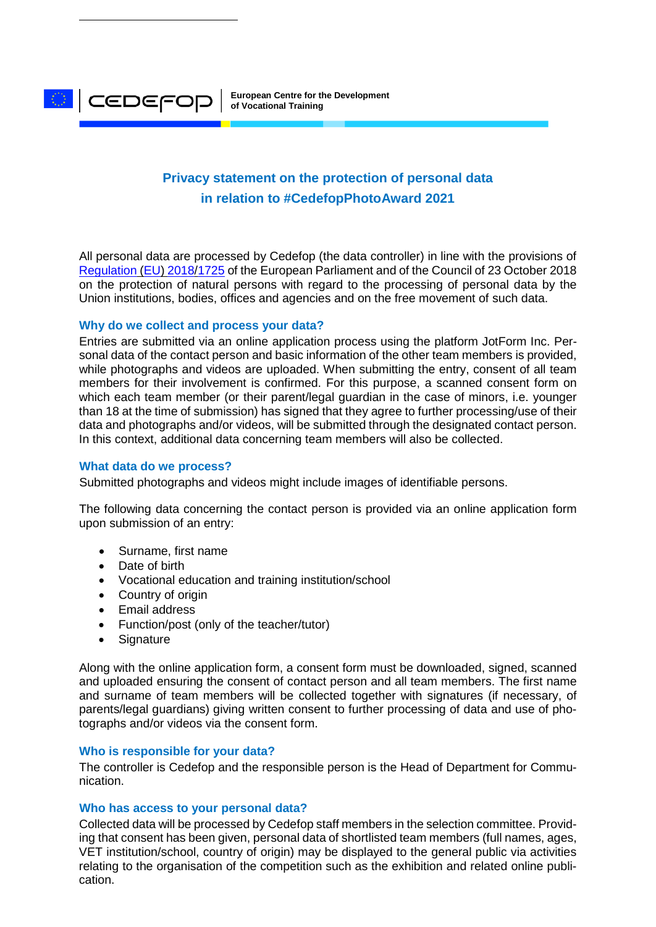**European Centre for the Development of Vocational Training**

# **Privacy statement on the protection of personal data in relation to #CedefopPhotoAward 2021**

All personal data are processed by Cedefop (the data controller) in line with the provisions of [Regulation](https://eur-lex.europa.eu/legal-content/EN/TXT/?uri=CELEX:32018R1725) (EU) 2018/1725 of the European Parliament and of the Council of 23 October 2018 on the protection of natural persons with regard to the processing of personal data by the Union institutions, bodies, offices and agencies and on the free movement of such data.

# **Why do we collect and process your data?**

Entries are submitted via an online application process using the platform JotForm Inc. Personal data of the contact person and basic information of the other team members is provided, while photographs and videos are uploaded. When submitting the entry, consent of all team members for their involvement is confirmed. For this purpose, a scanned consent form on which each team member (or their parent/legal guardian in the case of minors, i.e. younger than 18 at the time of submission) has signed that they agree to further processing/use of their data and photographs and/or videos, will be submitted through the designated contact person. In this context, additional data concerning team members will also be collected.

## **What data do we process?**

**CEDEFOP** 

Submitted photographs and videos might include images of identifiable persons.

The following data concerning the contact person is provided via an online application form upon submission of an entry:

- Surname, first name
- Date of birth
- Vocational education and training institution/school
- Country of origin
- Email address
- Function/post (only of the teacher/tutor)
- Signature

Along with the online application form, a consent form must be downloaded, signed, scanned and uploaded ensuring the consent of contact person and all team members. The first name and surname of team members will be collected together with signatures (if necessary, of parents/legal guardians) giving written consent to further processing of data and use of photographs and/or videos via the consent form.

## **Who is responsible for your data?**

The controller is Cedefop and the responsible person is the Head of Department for Communication.

## **Who has access to your personal data?**

Collected data will be processed by Cedefop staff members in the selection committee. Providing that consent has been given, personal data of shortlisted team members (full names, ages, VET institution/school, country of origin) may be displayed to the general public via activities relating to the organisation of the competition such as the exhibition and related online publication.